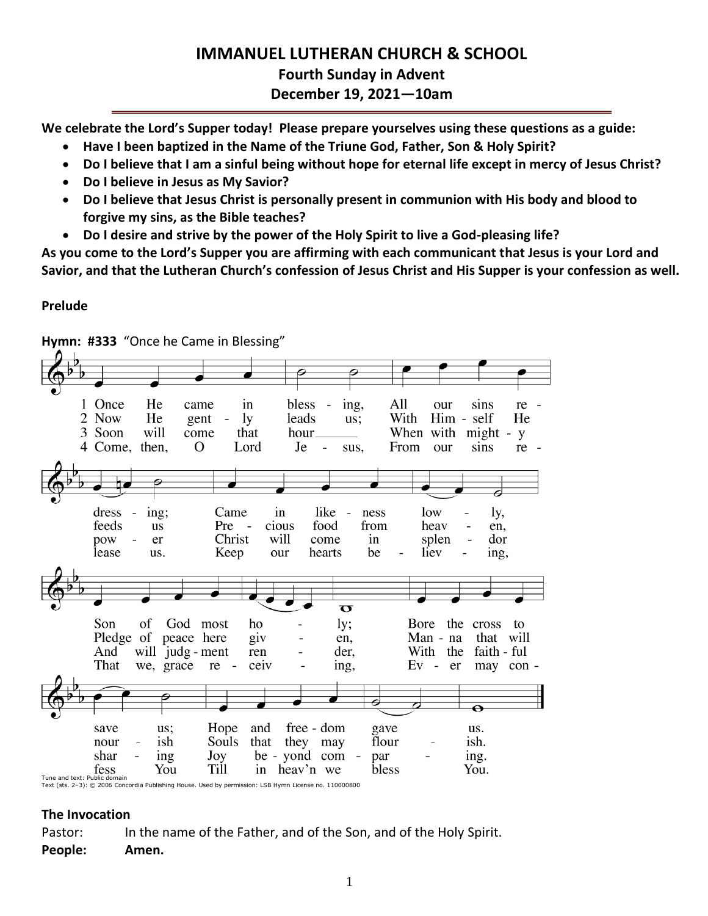## **IMMANUEL LUTHERAN CHURCH & SCHOOL Fourth Sunday in Advent December 19, 2021—10am**

**We celebrate the Lord's Supper today! Please prepare yourselves using these questions as a guide:**

- **Have I been baptized in the Name of the Triune God, Father, Son & Holy Spirit?**
- **Do I believe that I am a sinful being without hope for eternal life except in mercy of Jesus Christ?**
- **Do I believe in Jesus as My Savior?**
- **Do I believe that Jesus Christ is personally present in communion with His body and blood to forgive my sins, as the Bible teaches?**
- **Do I desire and strive by the power of the Holy Spirit to live a God-pleasing life?**

**As you come to the Lord's Supper you are affirming with each communicant that Jesus is your Lord and Savior, and that the Lutheran Church's confession of Jesus Christ and His Supper is your confession as well.**

## **Prelude**



## **Hymn: #333** "Once he Came in Blessing"

## **The Invocation**

Pastor: In the name of the Father, and of the Son, and of the Holy Spirit.

**People: Amen.**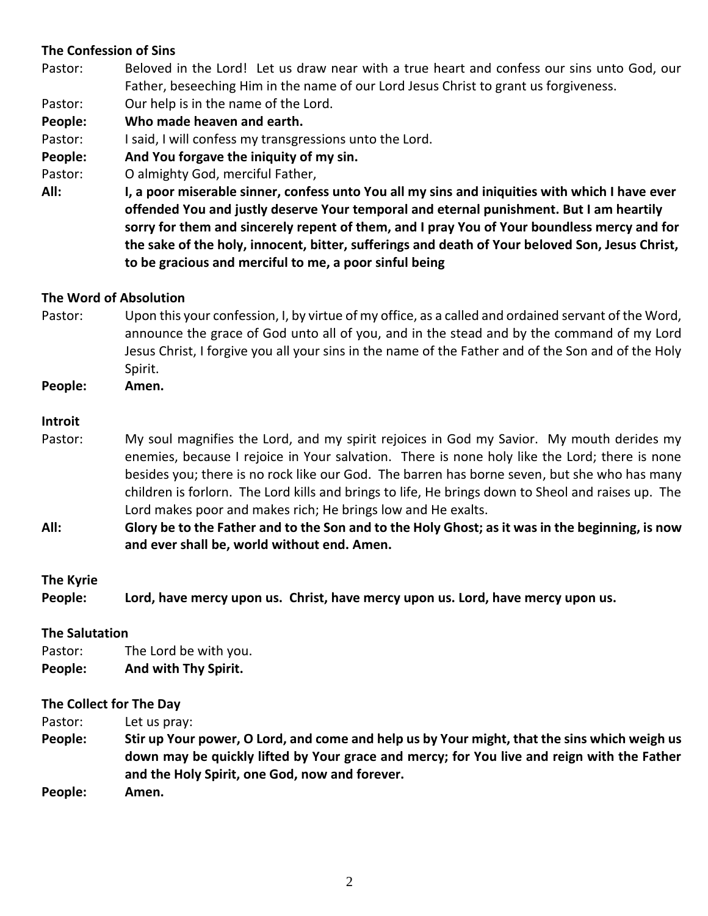#### **The Confession of Sins**

Pastor: Beloved in the Lord! Let us draw near with a true heart and confess our sins unto God, our Father, beseeching Him in the name of our Lord Jesus Christ to grant us forgiveness.

Pastor: Our help is in the name of the Lord.

**People: Who made heaven and earth.**

- Pastor: I said, I will confess my transgressions unto the Lord.
- **People: And You forgave the iniquity of my sin.**
- Pastor: O almighty God, merciful Father,
- **All: I, a poor miserable sinner, confess unto You all my sins and iniquities with which I have ever offended You and justly deserve Your temporal and eternal punishment. But I am heartily sorry for them and sincerely repent of them, and I pray You of Your boundless mercy and for the sake of the holy, innocent, bitter, sufferings and death of Your beloved Son, Jesus Christ, to be gracious and merciful to me, a poor sinful being**

#### **The Word of Absolution**

Pastor: Upon this your confession, I, by virtue of my office, as a called and ordained servant of the Word, announce the grace of God unto all of you, and in the stead and by the command of my Lord Jesus Christ, I forgive you all your sins in the name of the Father and of the Son and of the Holy Spirit.

**People: Amen.**

#### **Introit**

- Pastor: My soul magnifies the Lord, and my spirit rejoices in God my Savior. My mouth derides my enemies, because I rejoice in Your salvation. There is none holy like the Lord; there is none besides you; there is no rock like our God. The barren has borne seven, but she who has many children is forlorn. The Lord kills and brings to life, He brings down to Sheol and raises up. The Lord makes poor and makes rich; He brings low and He exalts.
- **All: Glory be to the Father and to the Son and to the Holy Ghost; as it was in the beginning, is now and ever shall be, world without end. Amen.**

#### **The Kyrie**

**People: Lord, have mercy upon us. Christ, have mercy upon us. Lord, have mercy upon us.**

#### **The Salutation**

| People: | And with Thy Spirit.  |
|---------|-----------------------|
| Pastor: | The Lord be with you. |

#### **The Collect for The Day**

Pastor: Let us pray:

**People: Stir up Your power, O Lord, and come and help us by Your might, that the sins which weigh us down may be quickly lifted by Your grace and mercy; for You live and reign with the Father and the Holy Spirit, one God, now and forever.** 

**People: Amen.**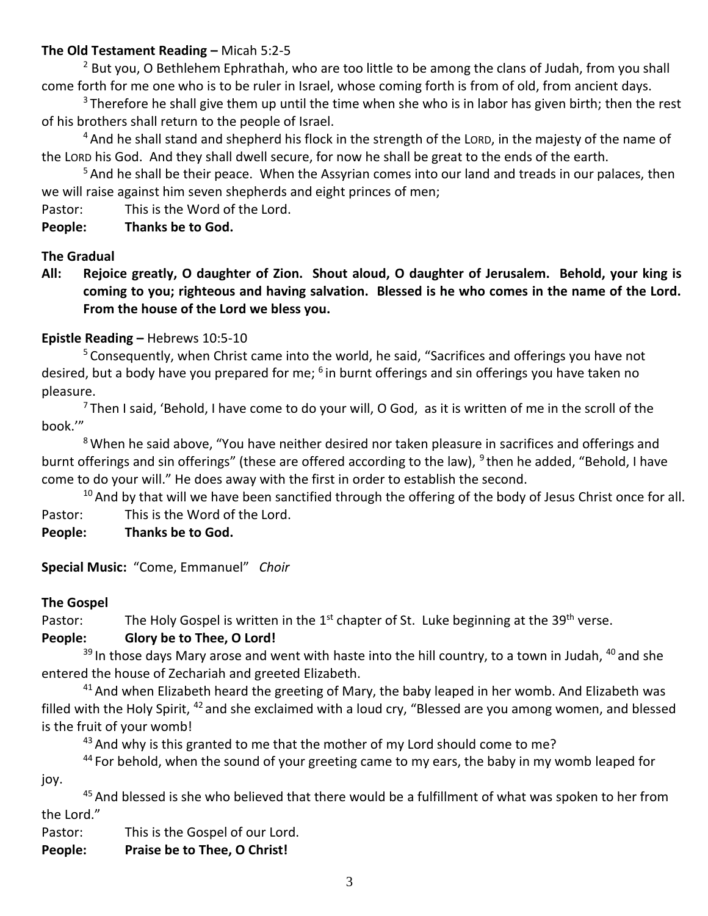#### **The Old Testament Reading –** Micah 5:2-5

 $2$  But you, O Bethlehem Ephrathah, who are too little to be among the clans of Judah, from you shall come forth for me one who is to be ruler in Israel, whose coming forth is from of old, from ancient days.

 $3$ Therefore he shall give them up until the time when she who is in labor has given birth; then the rest of his brothers shall return to the people of Israel.

<sup>4</sup> And he shall stand and shepherd his flock in the strength of the LORD, in the majesty of the name of the LORD his God. And they shall dwell secure, for now he shall be great to the ends of the earth.

<sup>5</sup> And he shall be their peace. When the Assyrian comes into our land and treads in our palaces, then we will raise against him seven shepherds and eight princes of men;

Pastor: This is the Word of the Lord.

**People: Thanks be to God.**

#### **The Gradual**

**All: Rejoice greatly, O daughter of Zion. Shout aloud, O daughter of Jerusalem. Behold, your king is coming to you; righteous and having salvation. Blessed is he who comes in the name of the Lord. From the house of the Lord we bless you.**

#### **Epistle Reading –** Hebrews 10:5-10

<sup>5</sup> Consequently, when Christ came into the world, he said, "Sacrifices and offerings you have not desired, but a body have you prepared for me; <sup>6</sup> in burnt offerings and sin offerings you have taken no pleasure.

<sup>7</sup> Then I said, 'Behold, I have come to do your will, O God, as it is written of me in the scroll of the book.'"

<sup>8</sup> When he said above, "You have neither desired nor taken pleasure in sacrifices and offerings and burnt offerings and sin offerings" (these are offered according to the law), <sup>9</sup> then he added, "Behold, I have come to do your will." He does away with the first in order to establish the second.

 $10$  And by that will we have been sanctified through the offering of the body of Jesus Christ once for all. Pastor: This is the Word of the Lord.

**People: Thanks be to God.**

**Special Music:** "Come, Emmanuel" *Choir*

#### **The Gospel**

Pastor: The Holy Gospel is written in the  $1<sup>st</sup>$  chapter of St. Luke beginning at the 39<sup>th</sup> verse.

#### **People: Glory be to Thee, O Lord!**

 $39$  In those days Mary arose and went with haste into the hill country, to a town in Judah,  $40$  and she entered the house of Zechariah and greeted Elizabeth.

 $41$  And when Elizabeth heard the greeting of Mary, the baby leaped in her womb. And Elizabeth was filled with the Holy Spirit, <sup>42</sup> and she exclaimed with a loud cry, "Blessed are you among women, and blessed is the fruit of your womb!

 $43$  And why is this granted to me that the mother of my Lord should come to me?

 $44$  For behold, when the sound of your greeting came to my ears, the baby in my womb leaped for joy.

<sup>45</sup> And blessed is she who believed that there would be a fulfillment of what was spoken to her from the Lord."

Pastor: This is the Gospel of our Lord.

**People: Praise be to Thee, O Christ!**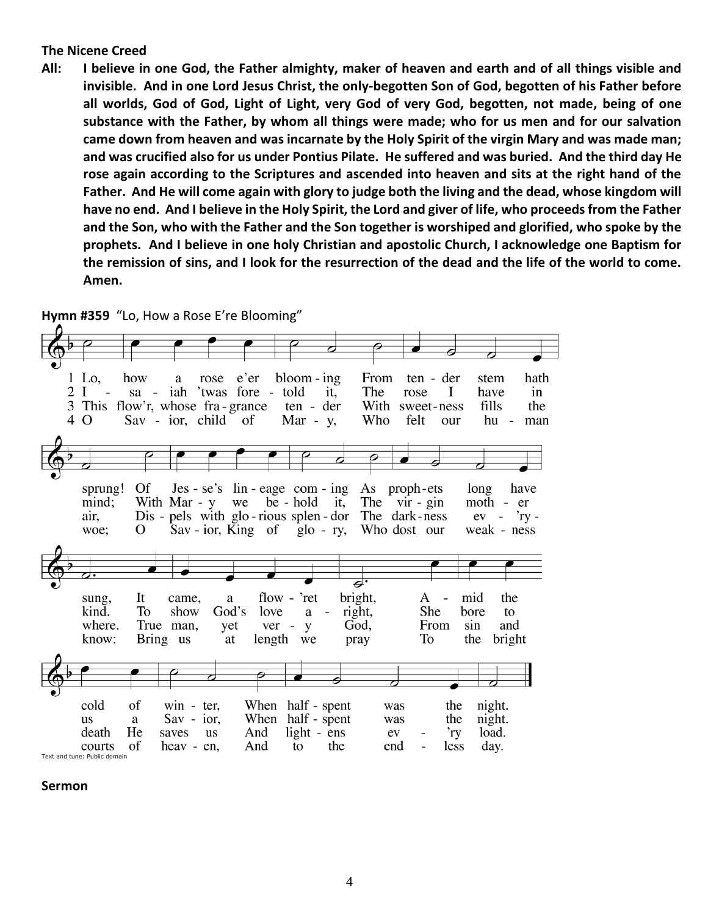#### **The Nicene Creed**

**All: I believe in one God, the Father almighty, maker of heaven and earth and of all things visible and invisible. And in one Lord Jesus Christ, the only-begotten Son of God, begotten of his Father before all worlds, God of God, Light of Light, very God of very God, begotten, not made, being of one substance with the Father, by whom all things were made; who for us men and for our salvation came down from heaven and was incarnate by the Holy Spirit of the virgin Mary and was made man; and was crucified also for us under Pontius Pilate. He suffered and was buried. And the third day He rose again according to the Scriptures and ascended into heaven and sits at the right hand of the Father. And He will come again with glory to judge both the living and the dead, whose kingdom will have no end. And I believe in the Holy Spirit, the Lord and giver of life, who proceeds from the Father and the Son, who with the Father and the Son together is worshiped and glorified, who spoke by the prophets. And I believe in one holy Christian and apostolic Church, I acknowledge one Baptism for the remission of sins, and I look for the resurrection of the dead and the life of the world to come. Amen.**



**Sermon**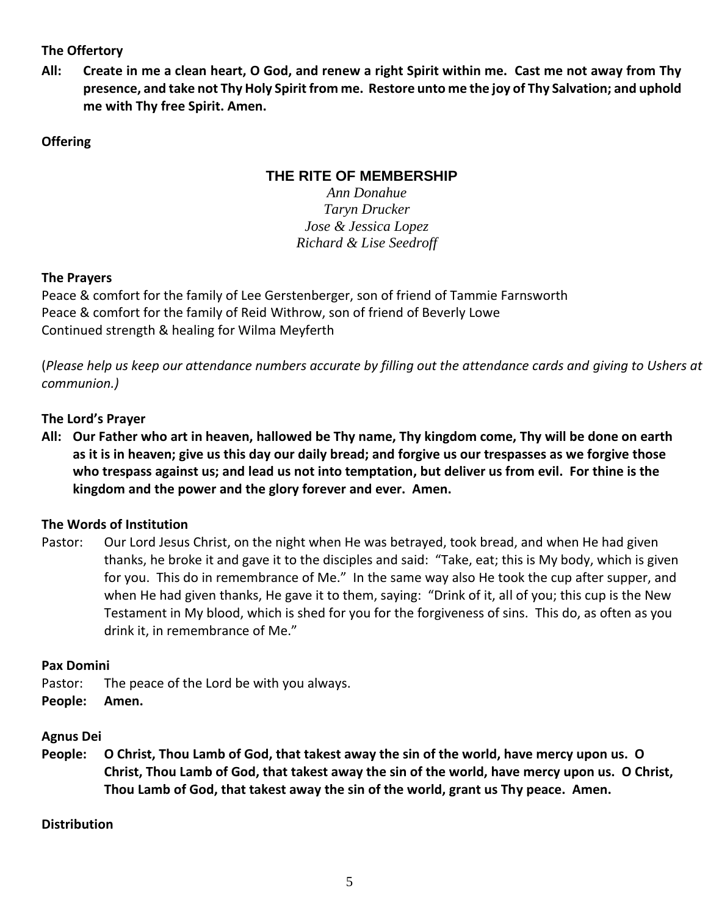#### **The Offertory**

**All: Create in me a clean heart, O God, and renew a right Spirit within me. Cast me not away from Thy presence, and take not Thy Holy Spirit from me. Restore unto me the joy of Thy Salvation; and uphold me with Thy free Spirit. Amen.**

**Offering**

## **THE RITE OF MEMBERSHIP**

*Ann Donahue Taryn Drucker Jose & Jessica Lopez Richard & Lise Seedroff*

#### **The Prayers**

Peace & comfort for the family of Lee Gerstenberger, son of friend of Tammie Farnsworth Peace & comfort for the family of Reid Withrow, son of friend of Beverly Lowe Continued strength & healing for Wilma Meyferth

(*Please help us keep our attendance numbers accurate by filling out the attendance cards and giving to Ushers at communion.)*

## **The Lord's Prayer**

**All: Our Father who art in heaven, hallowed be Thy name, Thy kingdom come, Thy will be done on earth as it is in heaven; give us this day our daily bread; and forgive us our trespasses as we forgive those who trespass against us; and lead us not into temptation, but deliver us from evil. For thine is the kingdom and the power and the glory forever and ever. Amen.**

## **The Words of Institution**

Pastor: Our Lord Jesus Christ, on the night when He was betrayed, took bread, and when He had given thanks, he broke it and gave it to the disciples and said: "Take, eat; this is My body, which is given for you. This do in remembrance of Me." In the same way also He took the cup after supper, and when He had given thanks, He gave it to them, saying: "Drink of it, all of you; this cup is the New Testament in My blood, which is shed for you for the forgiveness of sins. This do, as often as you drink it, in remembrance of Me."

#### **Pax Domini**

Pastor: The peace of the Lord be with you always.

**People: Amen.**

#### **Agnus Dei**

**People: O Christ, Thou Lamb of God, that takest away the sin of the world, have mercy upon us. O Christ, Thou Lamb of God, that takest away the sin of the world, have mercy upon us. O Christ, Thou Lamb of God, that takest away the sin of the world, grant us Thy peace. Amen.**

#### **Distribution**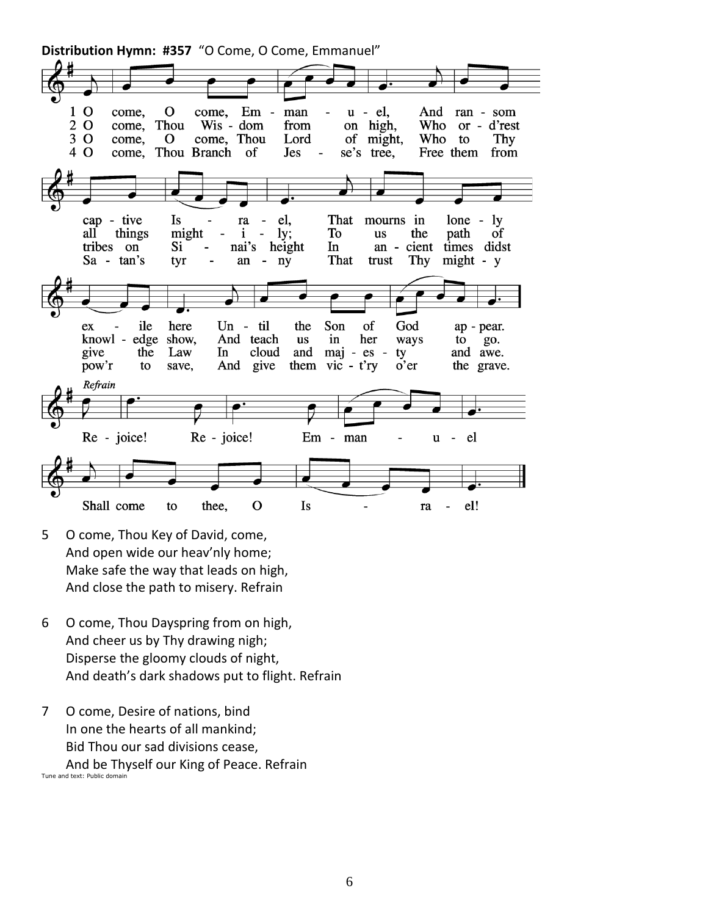**Distribution Hymn: #357** "O Come, O Come, Emmanuel"



- 5 O come, Thou Key of David, come, And open wide our heav'nly home; Make safe the way that leads on high, And close the path to misery. Refrain
- 6 O come, Thou Dayspring from on high, And cheer us by Thy drawing nigh; Disperse the gloomy clouds of night, And death's dark shadows put to flight. Refrain
- 7 O come, Desire of nations, bind In one the hearts of all mankind; Bid Thou our sad divisions cease, And be Thyself our King of Peace. Refrain Tune and text: Public domain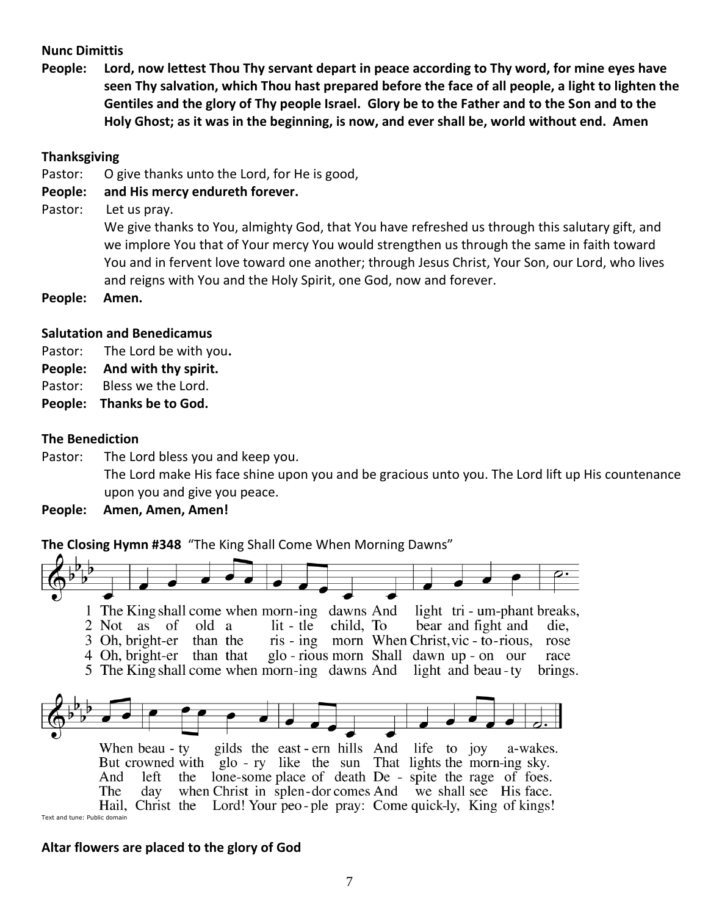#### **Nunc Dimittis**

**People: Lord, now lettest Thou Thy servant depart in peace according to Thy word, for mine eyes have seen Thy salvation, which Thou hast prepared before the face of all people, a light to lighten the Gentiles and the glory of Thy people Israel. Glory be to the Father and to the Son and to the Holy Ghost; as it was in the beginning, is now, and ever shall be, world without end. Amen**

#### **Thanksgiving**

Pastor: O give thanks unto the Lord, for He is good,

**People: and His mercy endureth forever.** 

Pastor: Let us pray.

We give thanks to You, almighty God, that You have refreshed us through this salutary gift, and we implore You that of Your mercy You would strengthen us through the same in faith toward You and in fervent love toward one another; through Jesus Christ, Your Son, our Lord, who lives and reigns with You and the Holy Spirit, one God, now and forever.

**People: Amen.**

#### **Salutation and Benedicamus**

- Pastor: The Lord be with you**.**
- **People: And with thy spirit.**
- Pastor: Bless we the Lord.
- **People: Thanks be to God.**

#### **The Benediction**

Pastor: The Lord bless you and keep you. The Lord make His face shine upon you and be gracious unto you. The Lord lift up His countenance upon you and give you peace.

**People: Amen, Amen, Amen!**

**The Closing Hymn #348** "The King Shall Come When Morning Dawns"



#### **Altar flowers are placed to the glory of God**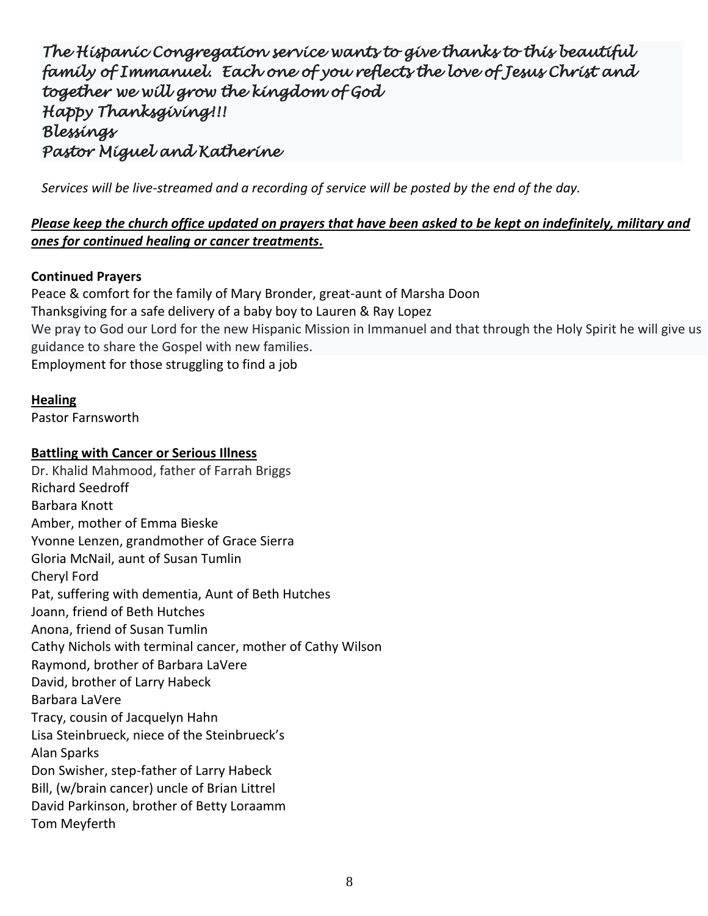*The Hispanic Congregation service wants to give thanks to this beautiful family of Immanuel. Each one of you reflects the love of Jesus Christ and together we will grow the kingdom of God Happy Thanksgiving!!! Blessings Pastor Miguel and Katherine* 

*Services will be live-streamed and a recording of service will be posted by the end of the day.* 

## *Please keep the church office updated on prayers that have been asked to be kept on indefinitely, military and ones for continued healing or cancer treatments.*

## **Continued Prayers**

Peace & comfort for the family of Mary Bronder, great-aunt of Marsha Doon Thanksgiving for a safe delivery of a baby boy to Lauren & Ray Lopez We pray to God our Lord for the new Hispanic Mission in Immanuel and that through the Holy Spirit he will give us guidance to share the Gospel with new families. Employment for those struggling to find a job

#### **Healing**

Pastor Farnsworth

#### **Battling with Cancer or Serious Illness**

Dr. Khalid Mahmood, father of Farrah Briggs Richard Seedroff Barbara Knott Amber, mother of Emma Bieske Yvonne Lenzen, grandmother of Grace Sierra Gloria McNail, aunt of Susan Tumlin Cheryl Ford Pat, suffering with dementia, Aunt of Beth Hutches Joann, friend of Beth Hutches Anona, friend of Susan Tumlin Cathy Nichols with terminal cancer, mother of Cathy Wilson Raymond, brother of Barbara LaVere David, brother of Larry Habeck Barbara LaVere Tracy, cousin of Jacquelyn Hahn Lisa Steinbrueck, niece of the Steinbrueck's Alan Sparks Don Swisher, step-father of Larry Habeck Bill, (w/brain cancer) uncle of Brian Littrel David Parkinson, brother of Betty Loraamm Tom Meyferth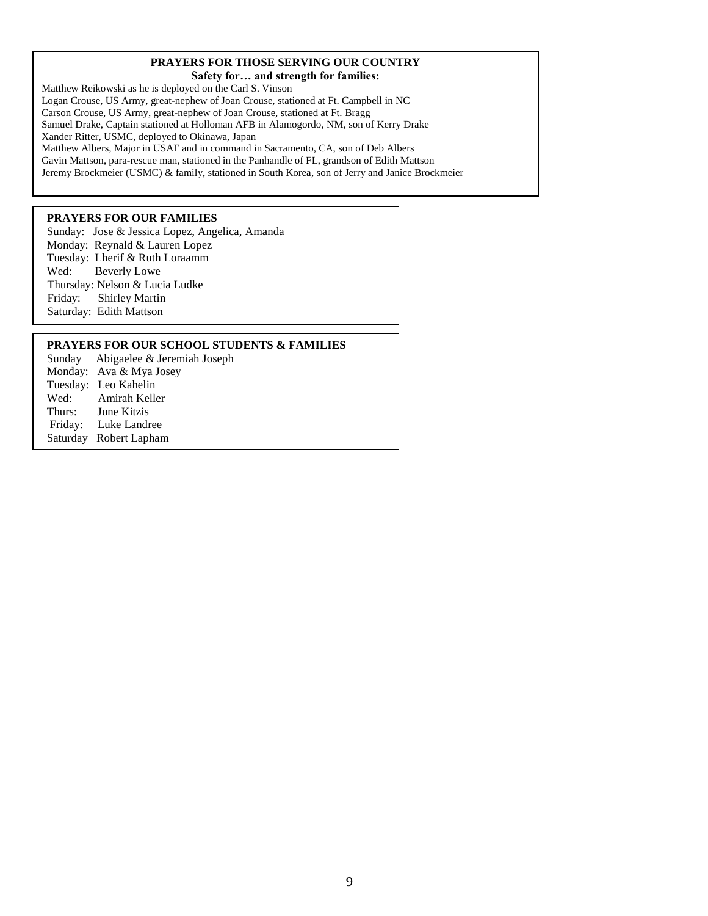#### **PRAYERS FOR THOSE SERVING OUR COUNTRY Safety for… and strength for families:**

Matthew Reikowski as he is deployed on the Carl S. Vinson Logan Crouse, US Army, great-nephew of Joan Crouse, stationed at Ft. Campbell in NC Carson Crouse, US Army, great-nephew of Joan Crouse, stationed at Ft. Bragg Samuel Drake, Captain stationed at Holloman AFB in Alamogordo, NM, son of Kerry Drake Xander Ritter, USMC, deployed to Okinawa, Japan Matthew Albers, Major in USAF and in command in Sacramento, CA, son of Deb Albers Gavin Mattson, para-rescue man, stationed in the Panhandle of FL, grandson of Edith Mattson Jeremy Brockmeier (USMC) & family, stationed in South Korea, son of Jerry and Janice Brockmeier

#### **PRAYERS FOR OUR FAMILIES**

Sunday: Jose & Jessica Lopez, Angelica, Amanda Monday: Reynald & Lauren Lopez Tuesday: Lherif & Ruth Loraamm Wed: Beverly Lowe Thursday: Nelson & Lucia Ludke Friday: Shirley Martin Saturday: Edith Mattson

#### **PRAYERS FOR OUR SCHOOL STUDENTS & FAMILIES**

Sunday Abigaelee & Jeremiah Joseph Monday: Ava & Mya Josey Tuesday: Leo Kahelin Wed: Amirah Keller Thurs: June Kitzis Friday: Luke Landree Saturday Robert Lapham